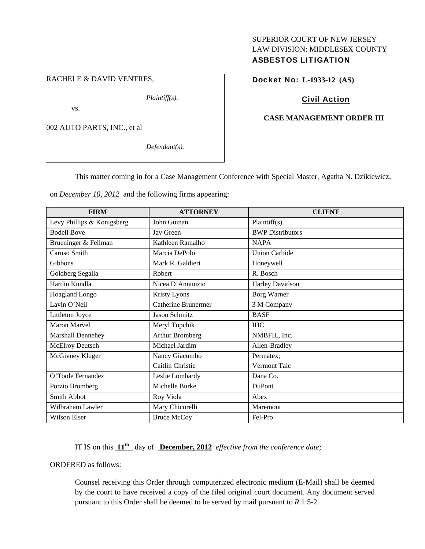## SUPERIOR COURT OF NEW JERSEY LAW DIVISION: MIDDLESEX COUNTY ASBESTOS LITIGATION

## RACHELE & DAVID VENTRES,

*Plaintiff(s),* 

vs.

002 AUTO PARTS, INC., et al

*Defendant(s).* 

### Docket No: **L-1933-12 (AS)**

### Civil Action

#### **CASE MANAGEMENT ORDER III**

This matter coming in for a Case Management Conference with Special Master, Agatha N. Dzikiewicz,

on *December 10, 2012* and the following firms appearing:

| <b>FIRM</b>                | <b>ATTORNEY</b>            | <b>CLIENT</b>           |
|----------------------------|----------------------------|-------------------------|
| Levy Phillips & Konigsberg | John Guinan                | Plaintiff(s)            |
| <b>Bodell Bove</b>         | Jay Green                  | <b>BWP</b> Distributors |
| Brueninger & Fellman       | Kathleen Ramalho           | <b>NAPA</b>             |
| Caruso Smith               | Marcia DePolo              | <b>Union Carbide</b>    |
| <b>Gibbons</b>             | Mark R. Galdieri           | Honeywell               |
| Goldberg Segalla           | Robert                     | R. Bosch                |
| Hardin Kundla              | Nicea D'Annunzio           | Harley Davidson         |
| Hoagland Longo             | Kristy Lyons               | <b>Borg Warner</b>      |
| Lavin O'Neil               | <b>Catherine Brunermer</b> | 3 M Company             |
| Littleton Joyce            | Jason Schmitz              | <b>BASF</b>             |
| <b>Maron Marvel</b>        | Meryl Topchik              | <b>IHC</b>              |
| Marshall Dennehey          | <b>Arthur Bromberg</b>     | NMBFIL, Inc.            |
| McElroy Deutsch            | Michael Jardim             | Allen-Bradley           |
| McGivney Kluger            | Nancy Giacumbo             | Permatex;               |
|                            | Caitlin Christie           | Vermont Talc            |
| O'Toole Fernandez          | Leslie Lombardy            | Dana Co.                |
| Porzio Bromberg            | Michelle Burke             | <b>DuPont</b>           |
| Smith Abbot                | Roy Viola                  | Abex                    |
| Wilbraham Lawler           | Mary Chicorelli            | Maremont                |
| Wilson Elser               | <b>Bruce McCoy</b>         | Fel-Pro                 |

IT IS on this **11th** day of **December, 2012** *effective from the conference date;*

ORDERED as follows:

Counsel receiving this Order through computerized electronic medium (E-Mail) shall be deemed by the court to have received a copy of the filed original court document. Any document served pursuant to this Order shall be deemed to be served by mail pursuant to *R*.1:5-2.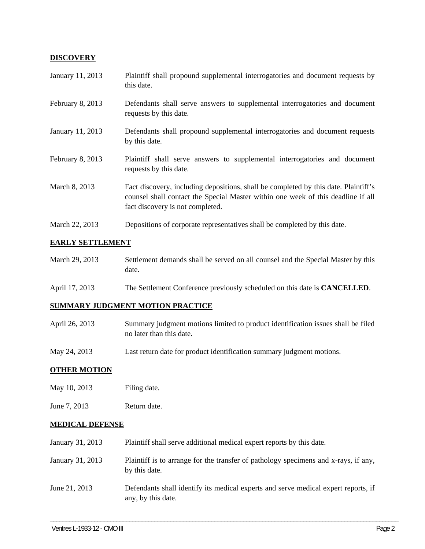## **DISCOVERY**

| January 11, 2013 | Plaintiff shall propound supplemental interrogatories and document requests by<br>this date.                                                                                                                |
|------------------|-------------------------------------------------------------------------------------------------------------------------------------------------------------------------------------------------------------|
| February 8, 2013 | Defendants shall serve answers to supplemental interrogatories and document<br>requests by this date.                                                                                                       |
| January 11, 2013 | Defendants shall propound supplemental interrogatories and document requests<br>by this date.                                                                                                               |
| February 8, 2013 | Plaintiff shall serve answers to supplemental interrogatories and document<br>requests by this date.                                                                                                        |
| March 8, 2013    | Fact discovery, including depositions, shall be completed by this date. Plaintiff's<br>counsel shall contact the Special Master within one week of this deadline if all<br>fact discovery is not completed. |
| March 22, 2013   | Depositions of corporate representatives shall be completed by this date.                                                                                                                                   |

## **EARLY SETTLEMENT**

| March 29, 2013 | Settlement demands shall be served on all counsel and the Special Master by this |
|----------------|----------------------------------------------------------------------------------|
|                | date.                                                                            |

April 17, 2013 The Settlement Conference previously scheduled on this date is **CANCELLED**.

# **SUMMARY JUDGMENT MOTION PRACTICE**

| April 26, 2013 | Summary judgment motions limited to product identification issues shall be filed |
|----------------|----------------------------------------------------------------------------------|
|                | no later than this date.                                                         |

May 24, 2013 Last return date for product identification summary judgment motions.

### **OTHER MOTION**

- May 10, 2013 Filing date.
- June 7, 2013 Return date.

# **MEDICAL DEFENSE**

| January 31, 2013 | Plaintiff shall serve additional medical expert reports by this date.                                    |
|------------------|----------------------------------------------------------------------------------------------------------|
| January 31, 2013 | Plaintiff is to arrange for the transfer of pathology specimens and x-rays, if any,<br>by this date.     |
| June 21, 2013    | Defendants shall identify its medical experts and serve medical expert reports, if<br>any, by this date. |

\_\_\_\_\_\_\_\_\_\_\_\_\_\_\_\_\_\_\_\_\_\_\_\_\_\_\_\_\_\_\_\_\_\_\_\_\_\_\_\_\_\_\_\_\_\_\_\_\_\_\_\_\_\_\_\_\_\_\_\_\_\_\_\_\_\_\_\_\_\_\_\_\_\_\_\_\_\_\_\_\_\_\_\_\_\_\_\_\_\_\_\_\_\_\_\_\_\_\_\_\_\_\_\_\_\_\_\_\_\_